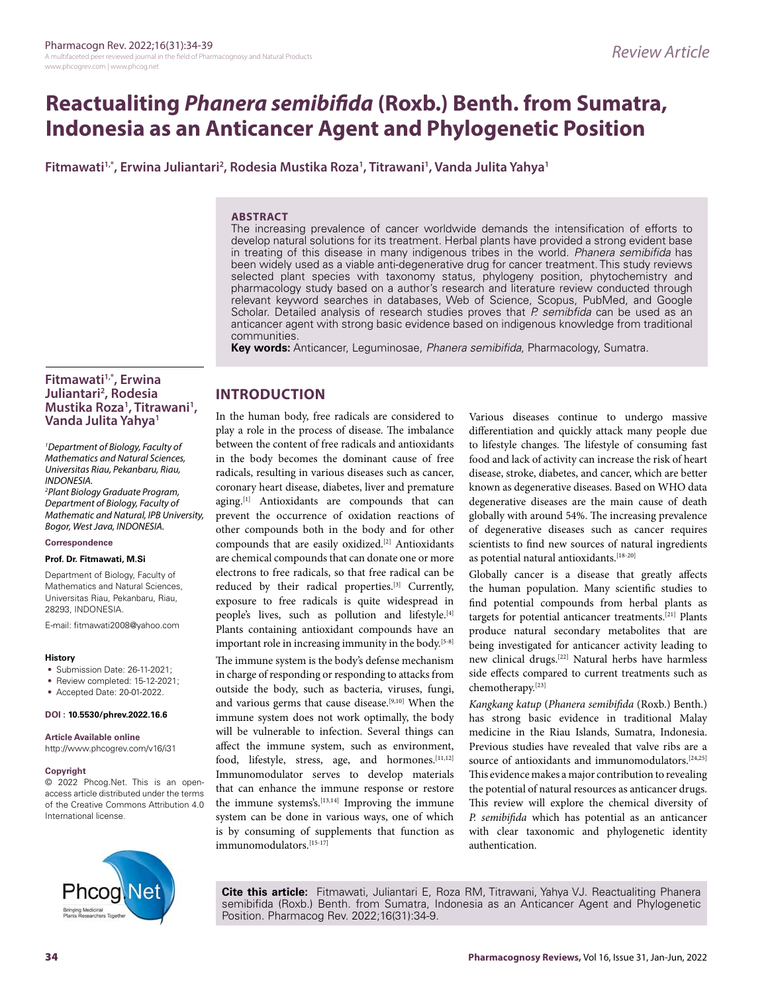# **Reactualiting** *Phanera semibifida* **(Roxb.) Benth. from Sumatra, Indonesia as an Anticancer Agent and Phylogenetic Position**

**Fitmawati1,\*, Erwina Juliantari2 , Rodesia Mustika Roza1 , Titrawani1 , Vanda Julita Yahya1**

#### **ABSTRACT**

The increasing prevalence of cancer worldwide demands the intensification of efforts to develop natural solutions for its treatment. Herbal plants have provided a strong evident base in treating of this disease in many indigenous tribes in the world. *Phanera semibifida* has been widely used as a viable anti-degenerative drug for cancer treatment. This study reviews selected plant species with taxonomy status, phylogeny position, phytochemistry and pharmacology study based on a author's research and literature review conducted through relevant keyword searches in databases, Web of Science, Scopus, PubMed, and Google Scholar. Detailed analysis of research studies proves that *P. semibfida* can be used as an anticancer agent with strong basic evidence based on indigenous knowledge from traditional communities.

**Key words:** Anticancer, Leguminosae, *Phanera semibifida*, Pharmacology, Sumatra.

## **Fitmawati1,\*, Erwina Juliantari2 , Rodesia Mustika Roza1 , Titrawani1 , Vanda Julita Yahya1**

*1 Department of Biology, Faculty of Mathematics and Natural Sciences, Universitas Riau, Pekanbaru, Riau, INDONESIA.*

*2 Plant Biology Graduate Program, Department of Biology, Faculty of Mathematic and Natural, IPB University, Bogor, West Java, INDONESIA.*

#### **Correspondence**

#### **Prof. Dr. Fitmawati, M.Si**

Department of Biology, Faculty of Mathematics and Natural Sciences, Universitas Riau, Pekanbaru, Riau, 28293, INDONESIA.

E-mail: fitmawati2008@yahoo.com

#### **History**

- Submission Date: 26-11-2021;
- Review completed: 15-12-2021;
- Accepted Date: 20-01-2022.

#### **DOI : 10.5530/phrev.2022.16.6**

#### **Article Available online**

http://www.phcogrev.com/v16/i31

#### **Copyright**

© 2022 Phcog.Net. This is an openaccess article distributed under the terms of the Creative Commons Attribution 4.0 International license.



# **INTRODUCTION**

In the human body, free radicals are considered to play a role in the process of disease. The imbalance between the content of free radicals and antioxidants in the body becomes the dominant cause of free radicals, resulting in various diseases such as cancer, coronary heart disease, diabetes, liver and premature aging.[1] Antioxidants are compounds that can prevent the occurrence of oxidation reactions of other compounds both in the body and for other compounds that are easily oxidized.[2] Antioxidants are chemical compounds that can donate one or more electrons to free radicals, so that free radical can be reduced by their radical properties.[3] Currently, exposure to free radicals is quite widespread in people's lives, such as pollution and lifestyle.[4] Plants containing antioxidant compounds have an important role in increasing immunity in the body.<sup>[5-8]</sup> The immune system is the body's defense mechanism in charge of responding or responding to attacks from outside the body, such as bacteria, viruses, fungi, and various germs that cause disease.<sup>[9,10]</sup> When the immune system does not work optimally, the body will be vulnerable to infection. Several things can affect the immune system, such as environment, food, lifestyle, stress, age, and hormones. [11,12] Immunomodulator serves to develop materials that can enhance the immune response or restore the immune systems's.<sup>[13,14]</sup> Improving the immune system can be done in various ways, one of which is by consuming of supplements that function as immunomodulators.[15-17]

Various diseases continue to undergo massive differentiation and quickly attack many people due to lifestyle changes. The lifestyle of consuming fast food and lack of activity can increase the risk of heart disease, stroke, diabetes, and cancer, which are better known as degenerative diseases. Based on WHO data degenerative diseases are the main cause of death globally with around 54%. The increasing prevalence of degenerative diseases such as cancer requires scientists to find new sources of natural ingredients as potential natural antioxidants.<sup>[18-20]</sup>

Globally cancer is a disease that greatly affects the human population. Many scientific studies to find potential compounds from herbal plants as targets for potential anticancer treatments.[21] Plants produce natural secondary metabolites that are being investigated for anticancer activity leading to new clinical drugs.[22] Natural herbs have harmless side effects compared to current treatments such as chemotherapy.[23]

*Kangkang katup* (*Phanera semibifida* (Roxb.) Benth.) has strong basic evidence in traditional Malay medicine in the Riau Islands, Sumatra, Indonesia. Previous studies have revealed that valve ribs are a source of antioxidants and immunomodulators.<sup>[24,25]</sup> This evidence makes a major contribution to revealing the potential of natural resources as anticancer drugs. This review will explore the chemical diversity of *P. semibifida* which has potential as an anticancer with clear taxonomic and phylogenetic identity authentication.

**Cite this article:** Fitmawati, Juliantari E, Roza RM, Titrawani, Yahya VJ. Reactualiting Phanera semibifida (Roxb.) Benth. from Sumatra, Indonesia as an Anticancer Agent and Phylogenetic Position. Pharmacog Rev. 2022;16(31):34-9.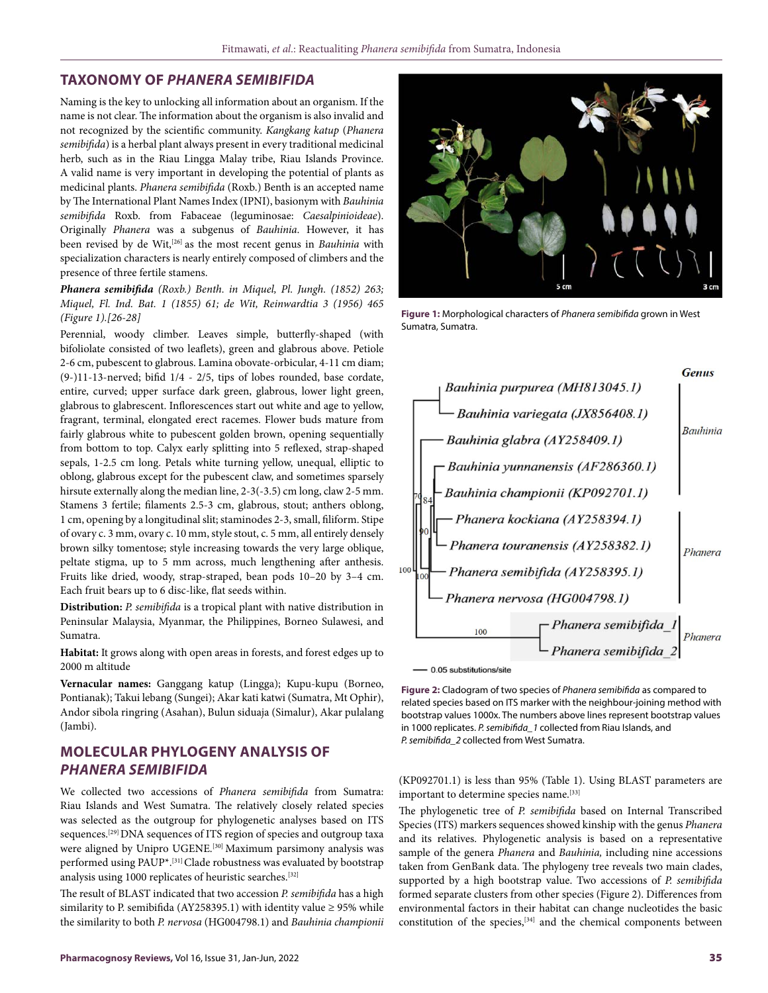#### **TAXONOMY OF** *PHANERA SEMIBIFIDA*

Naming is the key to unlocking all information about an organism. If the name is not clear. The information about the organism is also invalid and not recognized by the scientific community. *Kangkang katup* (*Phanera semibifida*) is a herbal plant always present in every traditional medicinal herb, such as in the Riau Lingga Malay tribe, Riau Islands Province. A valid name is very important in developing the potential of plants as medicinal plants. *Phanera semibifida* (Roxb.) Benth is an accepted name by The International Plant Names Index (IPNI), basionym with *Bauhinia semibifida* Roxb. from Fabaceae (leguminosae: *Caesalpinioideae*). Originally *Phanera* was a subgenus of *Bauhinia*. However, it has been revised by de Wit,[26] as the most recent genus in *Bauhinia* with specialization characters is nearly entirely composed of climbers and the presence of three fertile stamens.

*Phanera semibifida (Roxb.) Benth. in Miquel, Pl. Jungh. (1852) 263; Miquel, Fl. Ind. Bat. 1 (1855) 61; de Wit, Reinwardtia 3 (1956) 465 (Figure 1).[26-28]*

Perennial, woody climber. Leaves simple, butterfly-shaped (with bifoliolate consisted of two leaflets), green and glabrous above. Petiole 2-6 cm, pubescent to glabrous. Lamina obovate-orbicular, 4-11 cm diam; (9-)11-13-nerved; bifid 1/4 - 2/5, tips of lobes rounded, base cordate, entire, curved; upper surface dark green, glabrous, lower light green, glabrous to glabrescent. Inflorescences start out white and age to yellow, fragrant, terminal, elongated erect racemes. Flower buds mature from fairly glabrous white to pubescent golden brown, opening sequentially from bottom to top. Calyx early splitting into 5 reflexed, strap-shaped sepals, 1-2.5 cm long. Petals white turning yellow, unequal, elliptic to oblong, glabrous except for the pubescent claw, and sometimes sparsely hirsute externally along the median line, 2-3(-3.5) cm long, claw 2-5 mm. Stamens 3 fertile; filaments 2.5-3 cm, glabrous, stout; anthers oblong, 1 cm, opening by a longitudinal slit; staminodes 2-3, small, filiform. Stipe of ovary c. 3 mm, ovary c. 10 mm, style stout, c. 5 mm, all entirely densely brown silky tomentose; style increasing towards the very large oblique, peltate stigma, up to 5 mm across, much lengthening after anthesis. Fruits like dried, woody, strap-straped, bean pods 10–20 by 3–4 cm. Each fruit bears up to 6 disc-like, flat seeds within.

**Distribution:** *P. semibifida* is a tropical plant with native distribution in Peninsular Malaysia, Myanmar, the Philippines, Borneo Sulawesi, and Sumatra.

**Habitat:** It grows along with open areas in forests, and forest edges up to 2000 m altitude

**Vernacular names:** Ganggang katup (Lingga); Kupu-kupu (Borneo, Pontianak); Takui lebang (Sungei); Akar kati katwi (Sumatra, Mt Ophir), Andor sibola ringring (Asahan), Bulun siduaja (Simalur), Akar pulalang (Jambi).

# **MOLECULAR PHYLOGENY ANALYSIS OF**  *PHANERA SEMIBIFIDA*

We collected two accessions of *Phanera semibifida* from Sumatra: Riau Islands and West Sumatra. The relatively closely related species was selected as the outgroup for phylogenetic analyses based on ITS sequences.[29] DNA sequences of ITS region of species and outgroup taxa were aligned by Unipro UGENE.<sup>[30]</sup> Maximum parsimony analysis was performed using PAUP\*.[31] Clade robustness was evaluated by bootstrap analysis using 1000 replicates of heuristic searches.[32]

The result of BLAST indicated that two accession *P. semibifida* has a high similarity to P. semibifida (AY258395.1) with identity value  $\geq$  95% while the similarity to both *P. nervosa* (HG004798.1) and *Bauhinia championii*



**Figure 1:** Morphological characters of *Phanera semibifida* grown in West Sumatra, Sumatra.



 $-0.05$  substitutions/site

**Figure 2:** Cladogram of two species of *Phanera semibifida* as compared to related species based on ITS marker with the neighbour-joining method with bootstrap values 1000x. The numbers above lines represent bootstrap values in 1000 replicates. *P. semibifida\_1* collected from Riau Islands, and *P. semibifida\_2* collected from West Sumatra.

(KP092701.1) is less than 95% (Table 1). Using BLAST parameters are important to determine species name.<sup>[33]</sup>

The phylogenetic tree of *P. semibifida* based on Internal Transcribed Species (ITS) markers sequences showed kinship with the genus *Phanera* and its relatives. Phylogenetic analysis is based on a representative sample of the genera *Phanera* and *Bauhinia,* including nine accessions taken from GenBank data. The phylogeny tree reveals two main clades, supported by a high bootstrap value. Two accessions of *P. semibifida* formed separate clusters from other species (Figure 2). Differences from environmental factors in their habitat can change nucleotides the basic constitution of the species,[34] and the chemical components between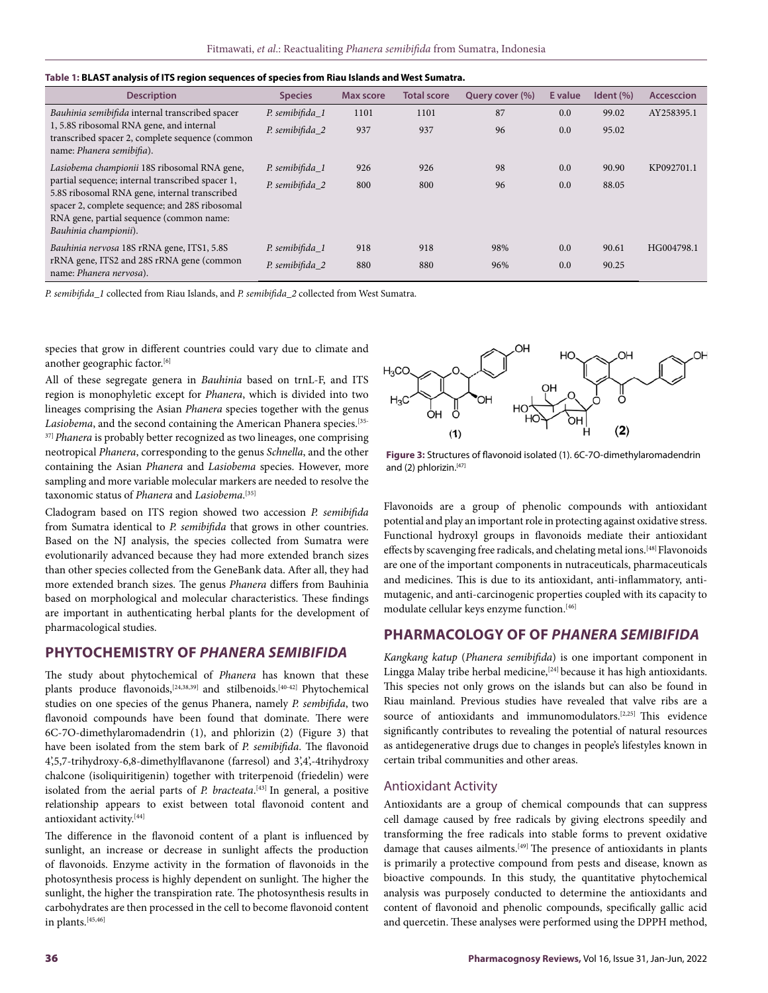| <b>Description</b>                                                                                                                                                                                                       | <b>Species</b>  | <b>Max score</b> | <b>Total score</b> | Query cover (%) | E value | Ident $(\% )$ | <b>Accesccion</b> |
|--------------------------------------------------------------------------------------------------------------------------------------------------------------------------------------------------------------------------|-----------------|------------------|--------------------|-----------------|---------|---------------|-------------------|
| Bauhinia semibifida internal transcribed spacer                                                                                                                                                                          | P. semibifida_1 | 1101             | 1101               | 87              | 0.0     | 99.02         | AY258395.1        |
| 1, 5.8S ribosomal RNA gene, and internal<br>transcribed spacer 2, complete sequence (common<br>name: Phanera semibifia).                                                                                                 | P. semibifida_2 | 937              | 937                | 96              | 0.0     | 95.02         |                   |
| Lasiobema championii 18S ribosomal RNA gene,                                                                                                                                                                             | P. semibifida 1 | 926              | 926                | 98              | 0.0     | 90.90         | KP092701.1        |
| partial sequence; internal transcribed spacer 1,<br>5.8S ribosomal RNA gene, internal transcribed<br>spacer 2, complete sequence; and 28S ribosomal<br>RNA gene, partial sequence (common name:<br>Bauhinia championii). | P. semibifida 2 | 800              | 800                | 96              | 0.0     | 88.05         |                   |
| Bauhinia nervosa 18S rRNA gene, ITS1, 5.8S                                                                                                                                                                               | P. semibifida_1 | 918              | 918                | 98%             | 0.0     | 90.61         | HG004798.1        |
| rRNA gene, ITS2 and 28S rRNA gene (common<br>name: Phanera nervosa).                                                                                                                                                     | P. semibifida_2 | 880              | 880                | 96%             | 0.0     | 90.25         |                   |

| Table 1: BLAST analysis of ITS region sequences of species from Riau Islands and West Sumatra. |
|------------------------------------------------------------------------------------------------|
|------------------------------------------------------------------------------------------------|

*P. semibifida\_1* collected from Riau Islands, and *P. semibifida\_2* collected from West Sumatra.

species that grow in different countries could vary due to climate and another geographic factor.<sup>[6]</sup>

All of these segregate genera in *Bauhinia* based on trnL-F, and ITS region is monophyletic except for *Phanera*, which is divided into two lineages comprising the Asian *Phanera* species together with the genus Lasiobema, and the second containing the American Phanera species.<sup>[35-</sup>] <sup>37]</sup> Phanera is probably better recognized as two lineages, one comprising neotropical *Phanera*, corresponding to the genus *Schnella*, and the other containing the Asian *Phanera* and *Lasiobema* species. However, more sampling and more variable molecular markers are needed to resolve the taxonomic status of *Phanera* and *Lasiobema*. [35]

Cladogram based on ITS region showed two accession *P. semibifida* from Sumatra identical to *P. semibifida* that grows in other countries. Based on the NJ analysis, the species collected from Sumatra were evolutionarily advanced because they had more extended branch sizes than other species collected from the GeneBank data. After all, they had more extended branch sizes. The genus *Phanera* differs from Bauhinia based on morphological and molecular characteristics. These findings are important in authenticating herbal plants for the development of pharmacological studies.

#### **PHYTOCHEMISTRY OF** *PHANERA SEMIBIFIDA*

The study about phytochemical of *Phanera* has known that these plants produce flavonoids,<sup>[24,38,39]</sup> and stilbenoids.<sup>[40-42]</sup> Phytochemical studies on one species of the genus Phanera, namely *P. sembifida*, two flavonoid compounds have been found that dominate. There were 6C-7O-dimethylaromadendrin (1), and phlorizin (2) (Figure 3) that have been isolated from the stem bark of *P. semibifida*. The flavonoid 4',5,7-trihydroxy-6,8-dimethylflavanone (farresol) and 3',4',-4trihydroxy chalcone (isoliquiritigenin) together with triterpenoid (friedelin) were isolated from the aerial parts of *P. bracteata*. [43] In general, a positive relationship appears to exist between total flavonoid content and antioxidant activity.[44]

The difference in the flavonoid content of a plant is influenced by sunlight, an increase or decrease in sunlight affects the production of flavonoids. Enzyme activity in the formation of flavonoids in the photosynthesis process is highly dependent on sunlight. The higher the sunlight, the higher the transpiration rate. The photosynthesis results in carbohydrates are then processed in the cell to become flavonoid content in plants.[45,46]



**Figure 3:** Structures of flavonoid isolated (1). 6C-7O-dimethylaromadendrin and (2) phlorizin.<sup>[47]</sup>

Flavonoids are a group of phenolic compounds with antioxidant potential and play an important role in protecting against oxidative stress. Functional hydroxyl groups in flavonoids mediate their antioxidant effects by scavenging free radicals, and chelating metal ions.<sup>[48]</sup> Flavonoids are one of the important components in nutraceuticals, pharmaceuticals and medicines. This is due to its antioxidant, anti-inflammatory, antimutagenic, and anti-carcinogenic properties coupled with its capacity to modulate cellular keys enzyme function.[46]

## **PHARMACOLOGY OF OF** *PHANERA SEMIBIFIDA*

*Kangkang katup* (*Phanera semibifida*) is one important component in Lingga Malay tribe herbal medicine,  $[24]$  because it has high antioxidants. This species not only grows on the islands but can also be found in Riau mainland. Previous studies have revealed that valve ribs are a source of antioxidants and immunomodulators.<sup>[2,25]</sup> This evidence significantly contributes to revealing the potential of natural resources as antidegenerative drugs due to changes in people's lifestyles known in certain tribal communities and other areas.

#### Antioxidant Activity

Antioxidants are a group of chemical compounds that can suppress cell damage caused by free radicals by giving electrons speedily and transforming the free radicals into stable forms to prevent oxidative damage that causes ailments.<sup>[49]</sup> The presence of antioxidants in plants is primarily a protective compound from pests and disease, known as bioactive compounds. In this study, the quantitative phytochemical analysis was purposely conducted to determine the antioxidants and content of flavonoid and phenolic compounds, specifically gallic acid and quercetin. These analyses were performed using the DPPH method,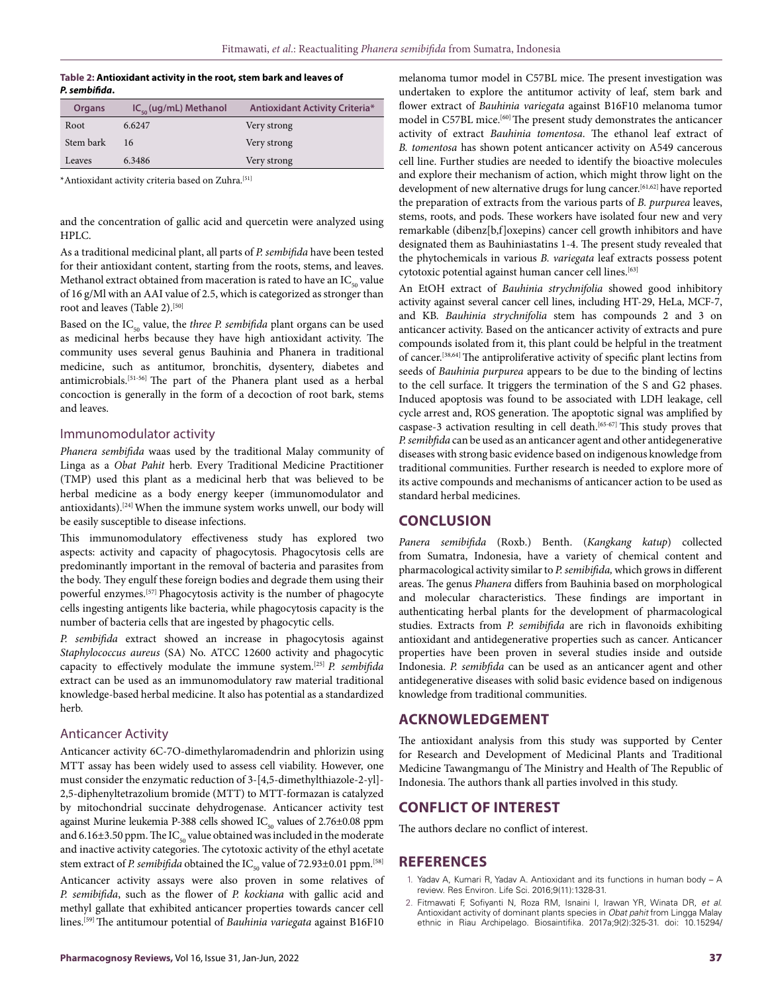#### **Table 2: Antioxidant activity in the root, stem bark and leaves of**  *P. sembifida***.**

| Organs    | $IC_{50}$ (ug/mL) Methanol | <b>Antioxidant Activity Criteria*</b> |
|-----------|----------------------------|---------------------------------------|
| Root      | 6.6247                     | Very strong                           |
| Stem bark | 16                         | Very strong                           |
| Leaves    | 6.3486                     | Very strong                           |

\*Antioxidant activity criteria based on Zuhra.[51]

and the concentration of gallic acid and quercetin were analyzed using HPLC.

As a traditional medicinal plant, all parts of *P. sembifida* have been tested for their antioxidant content, starting from the roots, stems, and leaves. Methanol extract obtained from maceration is rated to have an  $IC_{50}$  value of 16 g/Ml with an AAI value of 2.5, which is categorized as stronger than root and leaves (Table 2).<sup>[50]</sup>

Based on the IC<sub>50</sub> value, the *three P. sembifida* plant organs can be used as medicinal herbs because they have high antioxidant activity. The community uses several genus Bauhinia and Phanera in traditional medicine, such as antitumor, bronchitis, dysentery, diabetes and antimicrobials.[51-56] The part of the Phanera plant used as a herbal concoction is generally in the form of a decoction of root bark, stems and leaves.

### Immunomodulator activity

*Phanera sembifida* waas used by the traditional Malay community of Linga as a *Obat Pahit* herb. Every Traditional Medicine Practitioner (TMP) used this plant as a medicinal herb that was believed to be herbal medicine as a body energy keeper (immunomodulator and antioxidants).<sup>[24]</sup> When the immune system works unwell, our body will be easily susceptible to disease infections.

This immunomodulatory effectiveness study has explored two aspects: activity and capacity of phagocytosis. Phagocytosis cells are predominantly important in the removal of bacteria and parasites from the body. They engulf these foreign bodies and degrade them using their powerful enzymes.[57] Phagocytosis activity is the number of phagocyte cells ingesting antigents like bacteria, while phagocytosis capacity is the number of bacteria cells that are ingested by phagocytic cells.

*P. sembifida* extract showed an increase in phagocytosis against *Staphylococcus aureus* (SA) No. ATCC 12600 activity and phagocytic capacity to effectively modulate the immune system.[25] *P. sembifida* extract can be used as an immunomodulatory raw material traditional knowledge-based herbal medicine. It also has potential as a standardized herb.

#### Anticancer Activity

Anticancer activity 6C-7O-dimethylaromadendrin and phlorizin using MTT assay has been widely used to assess cell viability. However, one must consider the enzymatic reduction of 3-[4,5-dimethylthiazole-2-yl]- 2,5-diphenyltetrazolium bromide (MTT) to MTT-formazan is catalyzed by mitochondrial succinate dehydrogenase. Anticancer activity test against Murine leukemia P-388 cells showed  $IC_{50}$  values of 2.76±0.08 ppm and 6.16 $\pm$ 3.50 ppm. The IC<sub>50</sub> value obtained was included in the moderate and inactive activity categories. The cytotoxic activity of the ethyl acetate stem extract of *P. semibifida* obtained the  $IC_{\epsilon_0}$  value of 72.93 $\pm$ 0.01 ppm.<sup>[58]</sup> Anticancer activity assays were also proven in some relatives of *P. semibifida*, such as the flower of *P. kockiana* with gallic acid and methyl gallate that exhibited anticancer properties towards cancer cell lines.[59] The antitumour potential of *Bauhinia variegata* against B16F10

melanoma tumor model in C57BL mice. The present investigation was undertaken to explore the antitumor activity of leaf, stem bark and flower extract of *Bauhinia variegata* against B16F10 melanoma tumor model in C57BL mice.[60] The present study demonstrates the anticancer activity of extract *Bauhinia tomentosa*. The ethanol leaf extract of *B. tomentosa* has shown potent anticancer activity on A549 cancerous cell line. Further studies are needed to identify the bioactive molecules and explore their mechanism of action, which might throw light on the development of new alternative drugs for lung cancer.<sup>[61,62]</sup> have reported the preparation of extracts from the various parts of *B. purpurea* leaves, stems, roots, and pods. These workers have isolated four new and very remarkable (dibenz[b,f]oxepins) cancer cell growth inhibitors and have designated them as Bauhiniastatins 1-4. The present study revealed that the phytochemicals in various *B. variegata* leaf extracts possess potent cytotoxic potential against human cancer cell lines.[63]

An EtOH extract of *Bauhinia strychnifolia* showed good inhibitory activity against several cancer cell lines, including HT-29, HeLa, MCF-7, and KB. *Bauhinia strychnifolia* stem has compounds 2 and 3 on anticancer activity. Based on the anticancer activity of extracts and pure compounds isolated from it, this plant could be helpful in the treatment of cancer.[38,64] The antiproliferative activity of specific plant lectins from seeds of *Bauhinia purpurea* appears to be due to the binding of lectins to the cell surface. It triggers the termination of the S and G2 phases. Induced apoptosis was found to be associated with LDH leakage, cell cycle arrest and, ROS generation. The apoptotic signal was amplified by caspase-3 activation resulting in cell death.<sup>[65-67]</sup> This study proves that *P. semibfida* can be used as an anticancer agent and other antidegenerative diseases with strong basic evidence based on indigenous knowledge from traditional communities. Further research is needed to explore more of its active compounds and mechanisms of anticancer action to be used as standard herbal medicines.

### **CONCLUSION**

*Panera semibifida* (Roxb.) Benth. (*Kangkang katup*) collected from Sumatra, Indonesia, have a variety of chemical content and pharmacological activity similar to *P. semibifida,* which grows in different areas. The genus *Phanera* differs from Bauhinia based on morphological and molecular characteristics. These findings are important in authenticating herbal plants for the development of pharmacological studies. Extracts from *P. semibifida* are rich in flavonoids exhibiting antioxidant and antidegenerative properties such as cancer. Anticancer properties have been proven in several studies inside and outside Indonesia. *P. semibfida* can be used as an anticancer agent and other antidegenerative diseases with solid basic evidence based on indigenous knowledge from traditional communities.

## **ACKNOWLEDGEMENT**

The antioxidant analysis from this study was supported by Center for Research and Development of Medicinal Plants and Traditional Medicine Tawangmangu of The Ministry and Health of The Republic of Indonesia. The authors thank all parties involved in this study.

## **CONFLICT OF INTEREST**

The authors declare no conflict of interest.

#### **REFERENCES**

- 1. Yadav A, Kumari R, Yadav A. Antioxidant and its functions in human body A review. Res Environ. Life Sci. 2016;9(11):1328-31.
- 2. Fitmawati F, Sofiyanti N, Roza RM, Isnaini I, Irawan YR, Winata DR, *et al*. Antioxidant activity of dominant plants species in *Obat pahit* from Lingga Malay ethnic in Riau Archipelago. Biosaintifika. 2017a;9(2):325-31. doi: 10.15294/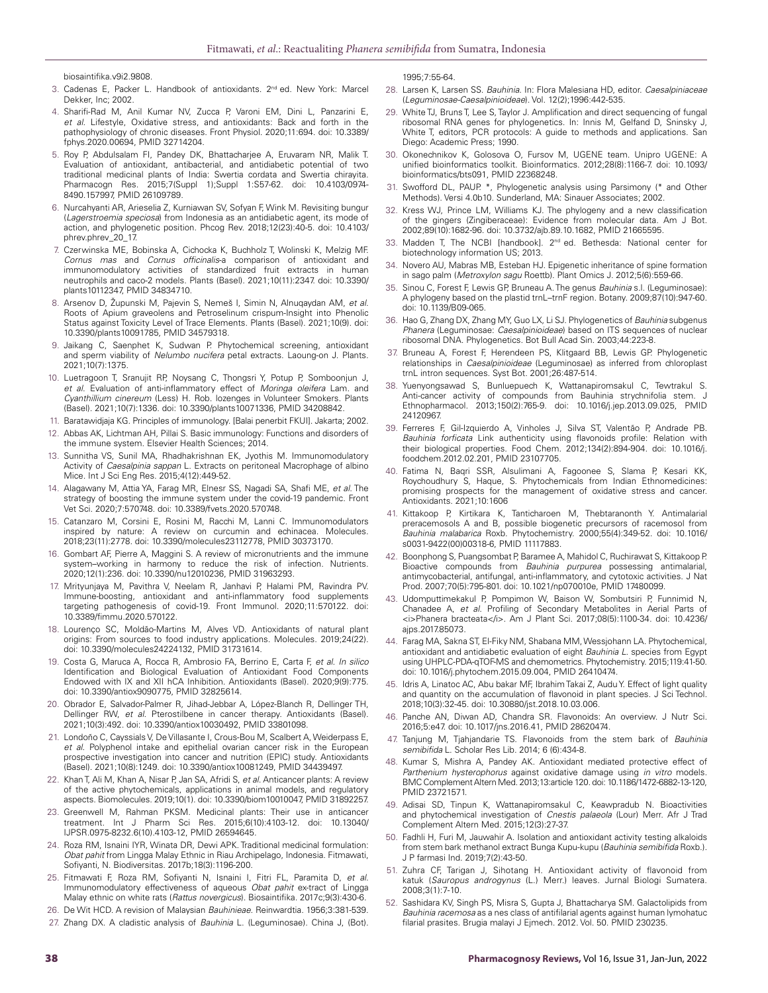biosaintifika.v9i2.9808.

- 3. Cadenas E, Packer L. Handbook of antioxidants. 2<sup>nd</sup> ed. New York: Marcel Dekker, Inc; 2002.
- 4. Sharifi-Rad M, Anil Kumar NV, Zucca P, Varoni EM, Dini L, Panzarini E, *et al*. Lifestyle, Oxidative stress, and antioxidants: Back and forth in the pathophysiology of chronic diseases. Front Physiol. 2020;11:694. doi: 10.3389/ fphys.2020.00694, PMID 32714204.
- 5. Roy P, Abdulsalam FI, Pandey DK, Bhattacharjee A, Eruvaram NR, Malik T. Evaluation of antioxidant, antibacterial, and antidiabetic potential of two traditional medicinal plants of India: Swertia cordata and Swertia chirayita. 2015;7(Suppl 1);Suppl 1:S57-62. doi: 10.4103/0974-8490.157997, PMID 26109789.
- 6. Nurcahyanti AR, Arieselia Z, Kurniawan SV, Sofyan F, Wink M. Revisiting bungur (*Lagerstroemia speciosa*) from Indonesia as an antidiabetic agent, its mode of action, and phylogenetic position. Phcog Rev. 2018;12(23):40-5. doi: 10.4103/ phrev.phrev\_20\_17.
- 7. Czerwinska ME, Bobinska A, Cichocka K, Buchholz T, Wolinski K, Melzig MF. *Cornus mas* and *Cornus officinalis*-a comparison of antioxidant and immunomodulatory activities of standardized fruit extracts in human neutrophils and caco-2 models. Plants (Basel). 2021;10(11):2347. doi: 10.3390/ plants10112347, PMID 34834710.
- 8. Arsenov D, Župunski M, Pajevin S, Nemeš I, Simin N, Alnuqaydan AM, *et al*. Roots of Apium graveolens and Petroselinum crispum-Insight into Phenolic Status against Toxicity Level of Trace Elements. Plants (Basel). 2021;10(9). doi: 10.3390/plants10091785, PMID 34579318.
- 9. Jaikang C, Saenphet K, Sudwan P. Phytochemical screening, antioxidant and sperm viability of *Nelumbo nucifera* petal extracts. Laoung-on J. Plants. 2021;10(7):1375.
- 10. Luetragoon T, Sranujit RP, Noysang C, Thongsri Y, Potup P, Somboonjun J, *et al*. Evaluation of anti-inflammatory effect of *Moringa oleifera* Lam. and *Cyanthillium cinereum* (Less) H. Rob. lozenges in Volunteer Smokers. Plants (Basel). 2021;10(7):1336. doi: 10.3390/plants10071336, PMID 34208842.
- 11. Baratawidjaja KG. Principles of immunology. [Balai penerbit FKUI]. Jakarta; 2002.
- 12. Abbas AK, Lichtman AH, Pillai S. Basic immunology: Functions and disorders of the immune system. Elsevier Health Sciences; 2014.
- 13. Sunnitha VS, Sunil MA, Rhadhakrishnan EK, Jyothis M. Immunomodulatory Activity of *Caesalpinia sappan* L. Extracts on peritoneal Macrophage of albino Mice. Int J Sci Eng Res. 2015;4(12):449-52.
- 14. Alagawany M, Attia YA, Farag MR, Elnesr SS, Nagadi SA, Shafi ME, *et al*. The strategy of boosting the immune system under the covid-19 pandemic. Front Vet Sci. 2020;7:570748. doi: 10.3389/fvets.2020.570748.
- 15. Catanzaro M, Corsini E, Rosini M, Racchi M, Lanni C. Immunomodulators inspired by nature: A review on curcumin and echinacea. Molecules. 2018;23(11):2778. doi: 10.3390/molecules23112778, PMID 30373170.
- 16. Gombart AF, Pierre A, Maggini S. A review of micronutrients and the immune system–working in harmony to reduce the risk of infection. Nutrients. 2020;12(1):236. doi: 10.3390/nu12010236, PMID 31963293.
- 17. Mrityunjaya M, Pavithra V, Neelam R, Janhavi P, Halami PM, Ravindra PV. Immune-boosting, antioxidant and anti-inflammatory food supplements targeting pathogenesis of covid-19. Front Immunol. 2020;11:570122. doi: 10.3389/fimmu.2020.570122.
- 18. Lourenço SC, Moldão-Martins M, Alves VD. Antioxidants of natural plant origins: From sources to food industry applications. Molecules. 2019;24(22). doi: 10.3390/molecules24224132, PMID 31731614.
- 19. Costa G, Maruca A, Rocca R, Ambrosio FA, Berrino E, Carta F, *et al*. *In silico* Identification and Biological Evaluation of Antioxidant Food Components Endowed with IX and XII hCA Inhibition. Antioxidants (Basel). 2020;9(9):775. doi: 10.3390/antiox9090775, PMID 32825614.
- 20. Obrador E, Salvador-Palmer R, Jihad-Jebbar A, López-Blanch R, Dellinger TH, Dellinger RW, *et al*. Pterostilbene in cancer therapy. Antioxidants (Basel). 2021;10(3):492. doi: 10.3390/antiox10030492, PMID 33801098.
- 21. Londoño C, Cayssials V, De Villasante I, Crous-Bou M, Scalbert A, Weiderpass E, *et al*. Polyphenol intake and epithelial ovarian cancer risk in the European prospective investigation into cancer and nutrition (EPIC) study. Antioxidants (Basel). 2021;10(8):1249. doi: 10.3390/antiox10081249, PMID 34439497.
- 22. Khan T, Ali M, Khan A, Nisar P, Jan SA, Afridi S, *et al*. Anticancer plants: A review of the active phytochemicals, applications in animal models, and regulatory aspects. Biomolecules. 2019;10(1). doi: 10.3390/biom10010047, PMID 31892257.
- 23. Greenwell M, Rahman PKSM. Medicinal plants: Their use in anticancer treatment. Int J Pharm Sci Res. 2015;6(10):4103-12. doi: 10.13040/ IJPSR.0975-8232.6(10).4103-12, PMID 26594645.
- 24. Roza RM, Isnaini IYR, Winata DR, Dewi APK. Traditional medicinal formulation: *Obat pahit* from Lingga Malay Ethnic in Riau Archipelago, Indonesia. Fitmawati, Sofiyanti, N. Biodiversitas. 2017b;18(3):1196-200.
- 25. Fitmawati F, Roza RM, Sofiyanti N, Isnaini I, Fitri FL, Paramita D, *et al*. Immunomodulatory effectiveness of aqueous *Obat pahit* ex-tract of Lingga Malay ethnic on white rats (*Rattus novergicus*). Biosaintifika. 2017c;9(3):430-6.
- 26. De Wit HCD. A revision of Malaysian *Bauhinieae*. Reinwardtia. 1956;3:381-539.
- 27. Zhang DX. A cladistic analysis of *Bauhinia* L. (Leguminosae). China J, (Bot).

1995;7:55-64.

- 28. Larsen K, Larsen SS. *Bauhinia*. In: Flora Malesiana HD, editor. *Caesalpiniaceae* (*Leguminosae-Caesalpinioideae*). Vol. 12(2);1996:442-535.
- 29. White TJ, Bruns T, Lee S, Taylor J. Amplification and direct sequencing of fungal ribosomal RNA genes for phylogenetics. In: Innis M, Gelfand D, Sninsky J, White T, editors, PCR protocols: A guide to methods and applications. San Diego: Academic Press; 1990.
- 30. Okonechnikov K, Golosova O, Fursov M, UGENE team. Unipro UGENE: A unified bioinformatics toolkit. Bioinformatics. 2012;28(8):1166-7. doi: 10.1093/ bioinformatics/bts091, PMID 22368248.
- 31. Swofford DL, PAUP. \*, Phylogenetic analysis using Parsimony (\* and Other Methods). Versi 4.0b10. Sunderland, MA: Sinauer Associates; 2002.
- Kress WJ, Prince LM, Williams KJ. The phylogeny and a new classification of the gingers (Zingiberaceae): Evidence from molecular data. Am J Bot. 2002;89(10):1682-96. doi: 10.3732/ajb.89.10.1682, PMID 21665595.
- 33. Madden T, The NCBI [handbook]. 2<sup>nd</sup> ed. Bethesda: National center for biotechnology information US; 2013.
- 34. Novero AU, Mabras MB, Esteban HJ. Epigenetic inheritance of spine formation in sago palm (*Metroxylon sagu* Roettb). Plant Omics J. 2012;5(6):559-66.
- 35. Sinou C, Forest F, Lewis GP, Bruneau A. The genus *Bauhinia* s.l. (Leguminosae): A phylogeny based on the plastid trnL–trnF region. Botany. 2009;87(10):947-60. doi: 10.1139/B09-065.
- 36. Hao G, Zhang DX, Zhang MY, Guo LX, Li SJ. Phylogenetics of *Bauhinia* subgenus *Phanera* (Leguminosae: *Caesalpinioideae*) based on ITS sequences of nuclear ribosomal DNA. Phylogenetics. Bot Bull Acad Sin. 2003;44:223-8.
- 37. Bruneau A, Forest F, Herendeen PS, Klitgaard BB, Lewis GP. Phylogenetic relationships in *Caesalpinioideae* (Leguminosae) as inferred from chloroplast trnL intron sequences. Syst Bot. 2001;26:487-514.
- 38. Yuenyongsawad S, Bunluepuech K, Wattanapiromsakul C, Tewtrakul S. Anti-cancer activity of compounds from Bauhinia strychnifolia stem. J Ethnopharmacol. 2013;150(2):765-9. doi: 10.1016/j.jep.2013.09.025, PMID 24120967.
- 39. Ferreres F, Gil-Izquierdo A, Vinholes J, Silva ST, Valentão P, Andrade PB. *Bauhinia forficata* Link authenticity using flavonoids profile: Relation with their biological properties. Food Chem. 2012;134(2):894-904. doi: 10.1016/j. foodchem.2012.02.201, PMID 23107705.
- 40. Fatima N, Baqri SSR, Alsulimani A, Fagoonee S, Slama P, Kesari KK, Roychoudhury S, Haque, S. Phytochemicals from Indian Ethnomedicines: promising prospects for the management of oxidative stress and cancer. Antioxidants. 2021;10:1606
- 41. Kittakoop P, Kirtikara K, Tanticharoen M, Thebtaranonth Y. Antimalarial preracemosols A and B, possible biogenetic precursors of racemosol from *Bauhinia malabarica* Roxb. Phytochemistry. 2000;55(4):349-52. doi: 10.1016/ s0031-9422(00)00318-6, PMID 11117883.
- 42. Boonphong S, Puangsombat P, Baramee A, Mahidol C, Ruchirawat S, Kittakoop P. Bioactive compounds from *Bauhinia purpurea* possessing antimalarial, antimycobacterial, antifungal, anti-inflammatory, and cytotoxic activities. J Nat Prod. 2007;70(5):795-801. doi: 10.1021/np070010e, PMID 17480099.
- 43. Udomputtimekakul P, Pompimon W, Baison W, Sombutsiri P, Funnimid N, Chanadee A, *et al*. Profiling of Secondary Metabolites in Aerial Parts of <i>Phanera bracteata</i>. Am J Plant Sci. 2017;08(5):1100-34. doi: 10.4236/ ajps.2017.85073.
- 44. Farag MA, Sakna ST, El-Fiky NM, Shabana MM, Wessjohann LA. Phytochemical, antioxidant and antidiabetic evaluation of eight *Bauhinia L*. species from Egypt using UHPLC-PDA-qTOF-MS and chemometrics. Phytochemistry. 2015;119:41-50. doi: 10.1016/j.phytochem.2015.09.004, PMID 26410474.
- 45. Idris A, Linatoc AC, Abu bakar MF, Ibrahim Takai Z, Audu Y. Effect of light quality and quantity on the accumulation of flavonoid in plant species. J Sci Technol. 2018;10(3):32-45. doi: 10.30880/jst.2018.10.03.006.
- 46. Panche AN, Diwan AD, Chandra SR. Flavonoids: An overview. J Nutr Sci. 2016;5:e47. doi: 10.1017/jns.2016.41, PMID 28620474.
- 47. Tanjung M, Tjahjandarie TS. Flavonoids from the stem bark of *Bauhinia semibifida* L. Scholar Res Lib. 2014; 6 (6):434-8.
- 48. Kumar S, Mishra A, Pandey AK. Antioxidant mediated protective effect of *Parthenium hysterophorus* against oxidative damage using *in vitro* models. BMC Complement Altern Med. 2013;13:article 120. doi: 10.1186/1472-6882-13-120, PMID 23721571.
- 49. Adisai SD, Tinpun K, Wattanapiromsakul C, Keawpradub N. Bioactivities and phytochemical investigation of *Cnestis palaeola* (Lour) Merr. Afr J Trad Complement Altern Med. 2015;12(3):27-37.
- 50. Fadhli H, Furi M, Jauwahir A. Isolation and antioxidant activity testing alkaloids from stem bark methanol extract Bunga Kupu-kupu (*Bauhinia semibifida* Roxb.). J P farmasi Ind. 2019;7(2):43-50.
- 51. Zuhra CF, Tarigan J, Sihotang H. Antioxidant activity of flavonoid from katuk (*Sauropus androgynus* (L.) Merr.) leaves. Jurnal Biologi Sumatera. 2008;3(1):7-10.
- 52. Sashidara KV, Singh PS, Misra S, Gupta J, Bhattacharya SM. Galactolipids from *Bauhinia racemosa* as a nes class of antifilarial agents against human lymohatuc filarial prasites. Brugia malayi J Ejmech. 2012. Vol. 50. PMID 230235.